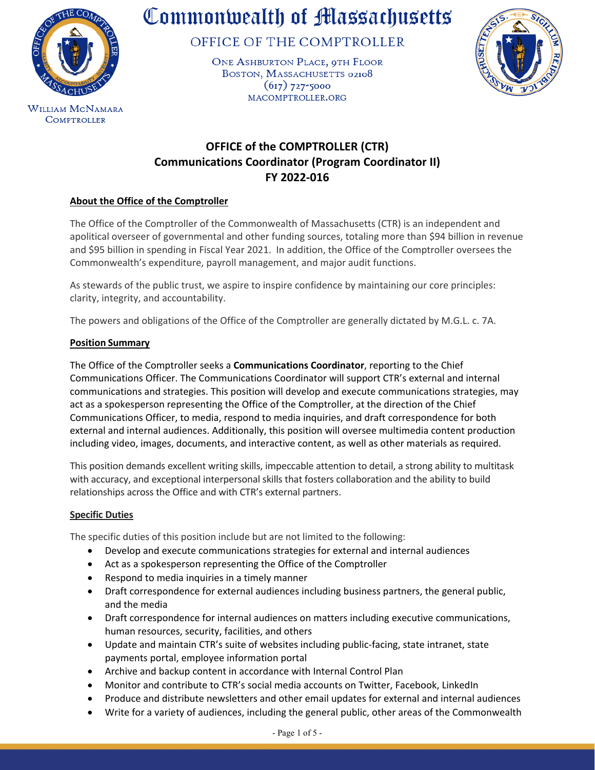

**COMPTROLLER** 

# Commonwealth of Massachusetts

OFFICE OF THE COMPTROLLER

ONE ASHBURTON PLACE, 9TH FLOOR BOSTON, MASSACHUSETTS 02108  $(617)$  727-5000 MACOMPTROLLER.ORG



# **OFFICE of the COMPTROLLER (CTR) Communications Coordinator (Program Coordinator II) FY 2022-016**

# **About the Office of the Comptroller**

The Office of the Comptroller of the Commonwealth of Massachusetts (CTR) is an independent and apolitical overseer of governmental and other funding sources, totaling more than \$94 billion in revenue and \$95 billion in spending in Fiscal Year 2021. In addition, the Office of the Comptroller oversees the Commonwealth's expenditure, payroll management, and major audit functions.

As stewards of the public trust, we aspire to inspire confidence by maintaining our core principles: clarity, integrity, and accountability.

The powers and obligations of the Office of the Comptroller are generally dictated by M.G.L. c. 7A.

# **Position Summary**

The Office of the Comptroller seeks a **Communications Coordinator**, reporting to the Chief Communications Officer. The Communications Coordinator will support CTR's external and internal communications and strategies. This position will develop and execute communications strategies, may act as a spokesperson representing the Office of the Comptroller, at the direction of the Chief Communications Officer, to media, respond to media inquiries, and draft correspondence for both external and internal audiences. Additionally, this position will oversee multimedia content production including video, images, documents, and interactive content, as well as other materials as required.

This position demands excellent writing skills, impeccable attention to detail, a strong ability to multitask with accuracy, and exceptional interpersonal skills that fosters collaboration and the ability to build relationships across the Office and with CTR's external partners.

## **Specific Duties**

The specific duties of this position include but are not limited to the following:

- Develop and execute communications strategies for external and internal audiences
- Act as a spokesperson representing the Office of the Comptroller
- Respond to media inquiries in a timely manner
- Draft correspondence for external audiences including business partners, the general public, and the media
- Draft correspondence for internal audiences on matters including executive communications, human resources, security, facilities, and others
- Update and maintain CTR's suite of websites including public-facing, state intranet, state payments portal, employee information portal
- Archive and backup content in accordance with Internal Control Plan
- Monitor and contribute to CTR's social media accounts on Twitter, Facebook, LinkedIn
- Produce and distribute newsletters and other email updates for external and internal audiences
- Write for a variety of audiences, including the general public, other areas of the Commonwealth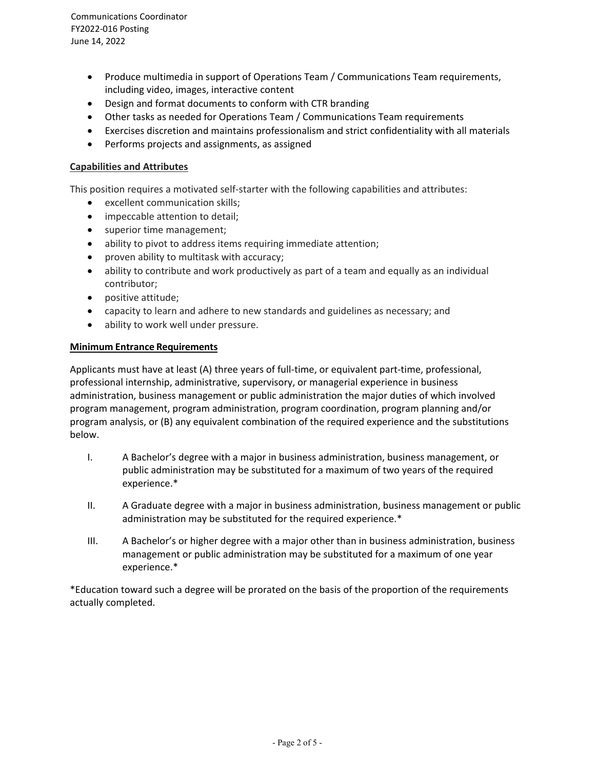- Produce multimedia in support of Operations Team / Communications Team requirements, including video, images, interactive content
- Design and format documents to conform with CTR branding
- Other tasks as needed for Operations Team / Communications Team requirements
- Exercises discretion and maintains professionalism and strict confidentiality with all materials
- Performs projects and assignments, as assigned

#### **Capabilities and Attributes**

This position requires a motivated self-starter with the following capabilities and attributes:

- excellent communication skills;
- impeccable attention to detail;
- superior time management;
- ability to pivot to address items requiring immediate attention;
- proven ability to multitask with accuracy;
- ability to contribute and work productively as part of a team and equally as an individual contributor;
- positive attitude;
- capacity to learn and adhere to new standards and guidelines as necessary; and
- ability to work well under pressure.

#### **Minimum Entrance Requirements**

Applicants must have at least (A) three years of full-time, or equivalent part-time, professional, professional internship, administrative, supervisory, or managerial experience in business administration, business management or public administration the major duties of which involved program management, program administration, program coordination, program planning and/or program analysis, or (B) any equivalent combination of the required experience and the substitutions below.

- I. A Bachelor's degree with a major in business administration, business management, or public administration may be substituted for a maximum of two years of the required experience.\*
- II. A Graduate degree with a major in business administration, business management or public administration may be substituted for the required experience.\*
- III. A Bachelor's or higher degree with a major other than in business administration, business management or public administration may be substituted for a maximum of one year experience.\*

\*Education toward such a degree will be prorated on the basis of the proportion of the requirements actually completed.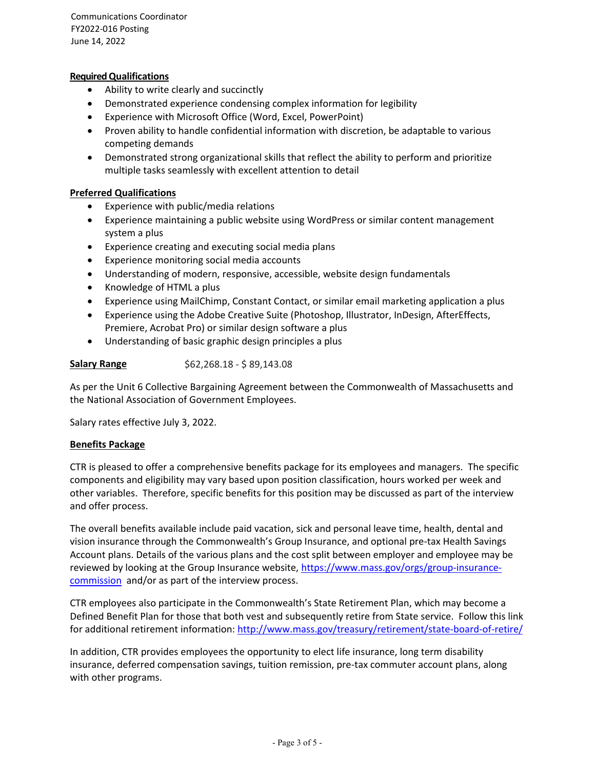Communications Coordinator FY2022-016 Posting June 14, 2022

#### **Required Qualifications**

- Ability to write clearly and succinctly
- Demonstrated experience condensing complex information for legibility
- Experience with Microsoft Office (Word, Excel, PowerPoint)
- Proven ability to handle confidential information with discretion, be adaptable to various competing demands
- Demonstrated strong organizational skills that reflect the ability to perform and prioritize multiple tasks seamlessly with excellent attention to detail

#### **Preferred Qualifications**

- Experience with public/media relations
- Experience maintaining a public website using WordPress or similar content management system a plus
- Experience creating and executing social media plans
- Experience monitoring social media accounts
- Understanding of modern, responsive, accessible, website design fundamentals
- Knowledge of HTML a plus
- Experience using MailChimp, Constant Contact, or similar email marketing application a plus
- Experience using the Adobe Creative Suite (Photoshop, Illustrator, InDesign, AfterEffects, Premiere, Acrobat Pro) or similar design software a plus
- Understanding of basic graphic design principles a plus

#### **Salary Range** \$62,268.18 - \$89,143.08

As per the Unit 6 Collective Bargaining Agreement between the Commonwealth of Massachusetts and the National Association of Government Employees.

Salary rates effective July 3, 2022.

#### **Benefits Package**

CTR is pleased to offer a comprehensive benefits package for its employees and managers. The specific components and eligibility may vary based upon position classification, hours worked per week and other variables. Therefore, specific benefits for this position may be discussed as part of the interview and offer process.

The overall benefits available include paid vacation, sick and personal leave time, health, dental and vision insurance through the Commonwealth's Group Insurance, and optional pre-tax Health Savings Account plans. Details of the various plans and the cost split between employer and employee may be reviewed by looking at the Group Insurance website, [https://www.mass.gov/orgs/group-insurance](https://www.mass.gov/orgs/group-insurance-commission)[commission](https://www.mass.gov/orgs/group-insurance-commission) and/or as part of the interview process.

CTR employees also participate in the Commonwealth's State Retirement Plan, which may become a Defined Benefit Plan for those that both vest and subsequently retire from State service. Follow this link for additional retirement information:<http://www.mass.gov/treasury/retirement/state-board-of-retire/>

In addition, CTR provides employees the opportunity to elect life insurance, long term disability insurance, deferred compensation savings, tuition remission, pre-tax commuter account plans, along with other programs.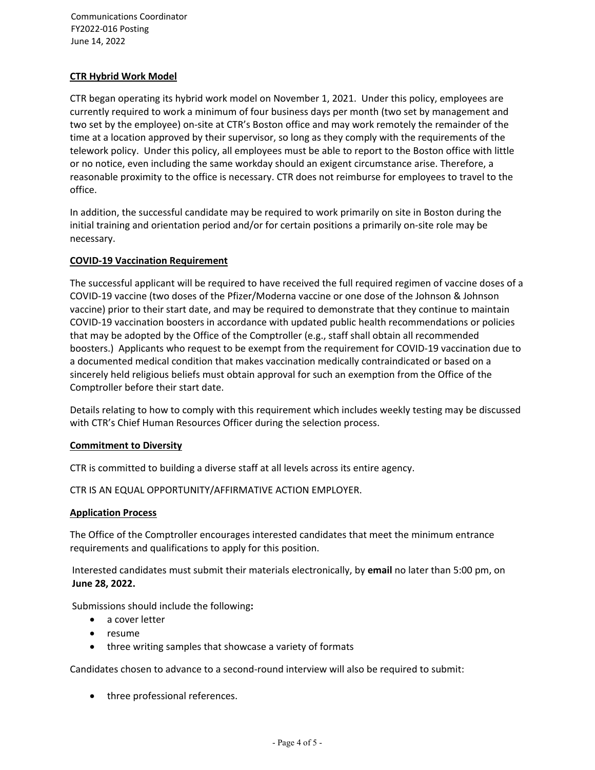Communications Coordinator FY2022-016 Posting June 14, 2022

## **CTR Hybrid Work Model**

CTR began operating its hybrid work model on November 1, 2021. Under this policy, employees are currently required to work a minimum of four business days per month (two set by management and two set by the employee) on-site at CTR's Boston office and may work remotely the remainder of the time at a location approved by their supervisor, so long as they comply with the requirements of the telework policy. Under this policy, all employees must be able to report to the Boston office with little or no notice, even including the same workday should an exigent circumstance arise. Therefore, a reasonable proximity to the office is necessary. CTR does not reimburse for employees to travel to the office.

In addition, the successful candidate may be required to work primarily on site in Boston during the initial training and orientation period and/or for certain positions a primarily on-site role may be necessary.

#### **COVID-19 Vaccination Requirement**

The successful applicant will be required to have received the full required regimen of vaccine doses of a COVID-19 vaccine (two doses of the Pfizer/Moderna vaccine or one dose of the Johnson & Johnson vaccine) prior to their start date, and may be required to demonstrate that they continue to maintain COVID-19 vaccination boosters in accordance with updated public health recommendations or policies that may be adopted by the Office of the Comptroller (e.g., staff shall obtain all recommended boosters.) Applicants who request to be exempt from the requirement for COVID-19 vaccination due to a documented medical condition that makes vaccination medically contraindicated or based on a sincerely held religious beliefs must obtain approval for such an exemption from the Office of the Comptroller before their start date.

Details relating to how to comply with this requirement which includes weekly testing may be discussed with CTR's Chief Human Resources Officer during the selection process.

#### **Commitment to Diversity**

CTR is committed to building a diverse staff at all levels across its entire agency.

CTR IS AN EQUAL OPPORTUNITY/AFFIRMATIVE ACTION EMPLOYER.

#### **Application Process**

The Office of the Comptroller encourages interested candidates that meet the minimum entrance requirements and qualifications to apply for this position.

Interested candidates must submit their materials electronically, by **email** no later than 5:00 pm, on **June 28, 2022.**

Submissions should include the following**:**

- a cover letter
- resume
- three writing samples that showcase a variety of formats

Candidates chosen to advance to a second-round interview will also be required to submit:

• three professional references.